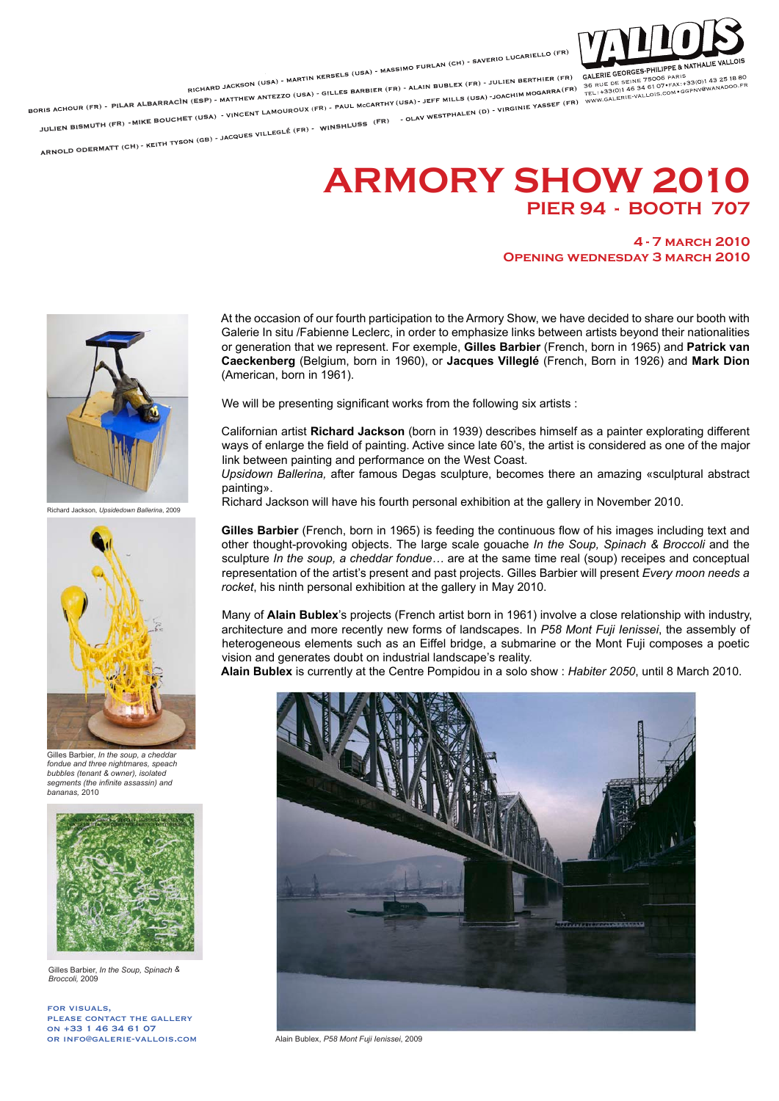

RICHARD JACKSON (USA) - MARTIN KERSELS (USA) - MASSIMO FURLAN (CH) - SAVERIO LUCARIELLO (FR)<br>RICHARD JACKSON (USA) - MARTIN KERSELS (USA) - MASSIMO FURLAN BUBLEX (FR) - JULIEN BERTHIER (FR)<br>NASARRA (FR) - SILLES BARBIER (F

PILAR ALBARRACÌN (ESP) - MATTHEW ARTICLE (FR)

JULIEN BISMUTH (FR) MIKE BOUCHET (USA) VINCENT LAMOUROUX (F WINSHLUSS (FR)

ARNOLD ODERMATT (CH)

## **ARMORY SHOW 2010 PIER 94 - BOOTH 707**

## **4 - 7 march 2010 Opening wednesday 3 march 2010**



Richard Jackson, *Upsidedown Ballerina*, 2009



Gilles Barbier, *In the soup*, a cheddar *fondue and three nightmares, speach bubbles (tenant & owner), isolated segments (the infinite assassin) and bananas,* 2010



Gilles Barbier, *In the Soup, Spinach & Broccoli,* 2009

for visuals, please contact the gallery on +33 1 46 34 61 07 or info@galerie-vallois.com At the occasion of our fourth participation to the Armory Show, we have decided to share our booth with Galerie In situ /Fabienne Leclerc, in order to emphasize links between artists beyond their nationalities or generation that we represent. For exemple, **Gilles Barbier** (French, born in 1965) and **Patrick van Caeckenberg** (Belgium, born in 1960), or **Jacques Villeglé** (French, Born in 1926) and **Mark Dion** (American, born in 1961).

We will be presenting significant works from the following six artists :

Californian artist **Richard Jackson** (born in 1939) describes himself as a painter explorating different ways of enlarge the field of painting. Active since late 60's, the artist is considered as one of the major link between painting and performance on the West Coast.

*Upsidown Ballerina,* after famous Degas sculpture, becomes there an amazing «sculptural abstract painting».

Richard Jackson will have his fourth personal exhibition at the gallery in November 2010.

**Gilles Barbier** (French, born in 1965) is feeding the continuous flow of his images including text and other thought-provoking objects. The large scale gouache *In the Soup, Spinach & Broccoli* and the sculpture *In the soup, a cheddar fondue…* are at the same time real (soup) receipes and conceptual representation of the artist's present and past projects. Gilles Barbier will present *Every moon needs a rocket*, his ninth personal exhibition at the gallery in May 2010.

Many of **Alain Bublex**'s projects (French artist born in 1961) involve a close relationship with industry, architecture and more recently new forms of landscapes. In *P58 Mont Fuji Ienissei*, the assembly of heterogeneous elements such as an Eiffel bridge, a submarine or the Mont Fuji composes a poetic vision and generates doubt on industrial landscape's reality.

**Alain Bublex** is currently at the Centre Pompidou in a solo show : *Habiter 2050*, until 8 March 2010.



Alain Bublex, *P58 Mont Fuji Ienissei*, 2009